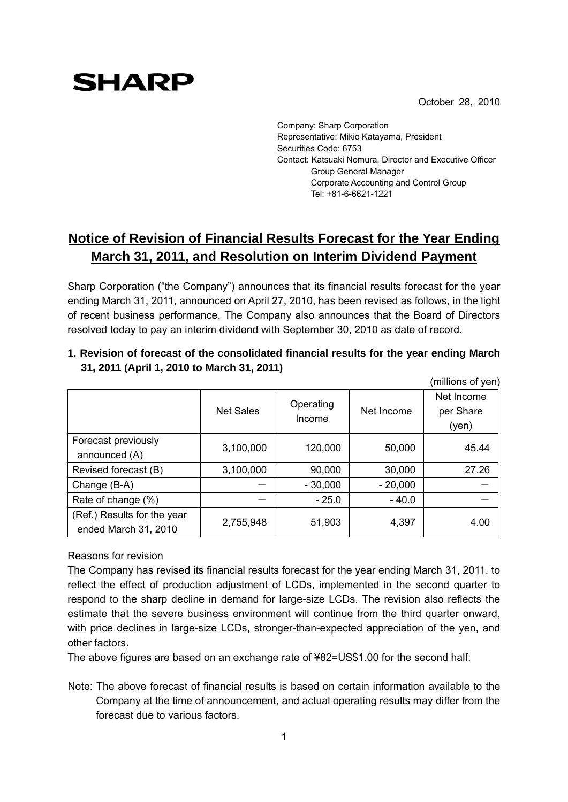October 28, 2010

Company: Sharp Corporation Representative: Mikio Katayama, President Securities Code: 6753 Contact: Katsuaki Nomura, Director and Executive Officer Group General Manager Corporate Accounting and Control Group Tel: +81-6-6621-1221

## **Notice of Revision of Financial Results Forecast for the Year Ending March 31, 2011, and Resolution on Interim Dividend Payment**

Sharp Corporation ("the Company") announces that its financial results forecast for the year ending March 31, 2011, announced on April 27, 2010, has been revised as follows, in the light of recent business performance. The Company also announces that the Board of Directors resolved today to pay an interim dividend with September 30, 2010 as date of record.

**1. Revision of forecast of the consolidated financial results for the year ending March 31, 2011 (April 1, 2010 to March 31, 2011)**

|                                                     |                  |                     |            | (millions of yen)                |
|-----------------------------------------------------|------------------|---------------------|------------|----------------------------------|
|                                                     | <b>Net Sales</b> | Operating<br>Income | Net Income | Net Income<br>per Share<br>(yen) |
| Forecast previously<br>announced (A)                | 3,100,000        | 120,000             | 50,000     | 45.44                            |
| Revised forecast (B)                                | 3,100,000        | 90,000              | 30,000     | 27.26                            |
| Change (B-A)                                        |                  | $-30,000$           | $-20,000$  |                                  |
| Rate of change (%)                                  |                  | $-25.0$             | $-40.0$    |                                  |
| (Ref.) Results for the year<br>ended March 31, 2010 | 2,755,948        | 51,903              | 4,397      | 4.00                             |

Reasons for revision

**SHARP** 

The Company has revised its financial results forecast for the year ending March 31, 2011, to reflect the effect of production adjustment of LCDs, implemented in the second quarter to respond to the sharp decline in demand for large-size LCDs. The revision also reflects the estimate that the severe business environment will continue from the third quarter onward, with price declines in large-size LCDs, stronger-than-expected appreciation of the yen, and other factors.

The above figures are based on an exchange rate of ¥82=US\$1.00 for the second half.

Note: The above forecast of financial results is based on certain information available to the Company at the time of announcement, and actual operating results may differ from the forecast due to various factors.